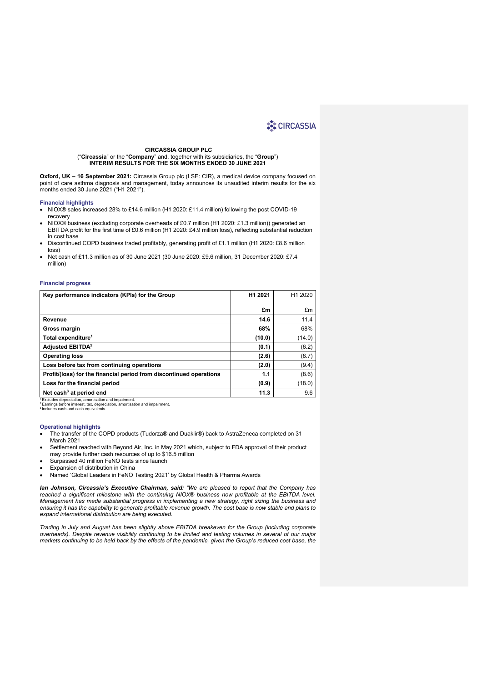#### **CIRCASSIA GROUP PLC**

("**Circassia**" or the "**Company**" and, together with its subsidiaries, the "**Group**") **INTERIM RESULTS FOR THE SIX MONTHS ENDED 30 JUNE 2021**

**Oxford, UK – 16 September 2021:** Circassia Group plc (LSE: CIR), a medical device company focused on point of care asthma diagnosis and management, today announces its unaudited interim results for the six months ended 30 June 2021 ("H1 2021").

#### **Financial highlights**

- NIOX® sales increased 28% to £14.6 million (H1 2020: £11.4 million) following the post COVID-19 recovery
- NIOX® business (excluding corporate overheads of £0.7 million (H1 2020: £1.3 million)) generated an EBITDA profit for the first time of £0.6 million (H1 2020: £4.9 million loss), reflecting substantial reduction in cost base
- Discontinued COPD business traded profitably, generating profit of £1.1 million (H1 2020: £8.6 million loss)
- Net cash of £11.3 million as of 30 June 2021 (30 June 2020: £9.6 million, 31 December 2020: £7.4 million)

#### **Financial progress**

| Key performance indicators (KPIs) for the Group                                                                                                                                                   | H1 2021 | H <sub>1</sub> 2020 |
|---------------------------------------------------------------------------------------------------------------------------------------------------------------------------------------------------|---------|---------------------|
|                                                                                                                                                                                                   | £m      | £m                  |
|                                                                                                                                                                                                   |         |                     |
| Revenue                                                                                                                                                                                           | 14.6    | 11.4                |
| Gross margin                                                                                                                                                                                      | 68%     | 68%                 |
| Total expenditure <sup>1</sup>                                                                                                                                                                    | (10.0)  | (14.0)              |
| <b>Adjusted EBITDA<sup>2</sup></b>                                                                                                                                                                | (0.1)   | (6.2)               |
| <b>Operating loss</b>                                                                                                                                                                             | (2.6)   | (8.7)               |
| Loss before tax from continuing operations                                                                                                                                                        | (2.0)   | (9.4)               |
| Profit/(loss) for the financial period from discontinued operations                                                                                                                               | 1.1     | (8.6)               |
| Loss for the financial period                                                                                                                                                                     | (0.9)   | (18.0)              |
| Net cash <sup>3</sup> at period end                                                                                                                                                               | 11.3    | 9.6                 |
| Excludes depreciation, amortisation and impairment.<br><sup>2</sup> Earnings before interest, tax, depreciation, amortisation and impairment.<br><sup>3</sup> Includes cash and cash equivalents. |         |                     |

#### **Operational highlights**

- The transfer of the COPD products (Tudorza® and Duaklir®) back to AstraZeneca completed on 31 March 2021
- Settlement reached with Beyond Air, Inc. in May 2021 which, subject to FDA approval of their product may provide further cash resources of up to \$16.5 million
- Surpassed 40 million FeNO tests since launch
- Expansion of distribution in China
- Named 'Global Leaders in FeNO Testing 2021' by Global Health & Pharma Awards

*Ian Johnson, Circassia's Executive Chairman, said: "We are pleased to report that the Company has reached a significant milestone with the continuing NIOX® business now profitable at the EBITDA level. Management has made substantial progress in implementing a new strategy, right sizing the business and ensuring it has the capability to generate profitable revenue growth. The cost base is now stable and plans to expand international distribution are being executed.*

*Trading in July and August has been slightly above EBITDA breakeven for the Group (including corporate overheads). Despite revenue visibility continuing to be limited and testing volumes in several of our major markets continuing to be held back by the effects of the pandemic, given the Group's reduced cost base, the*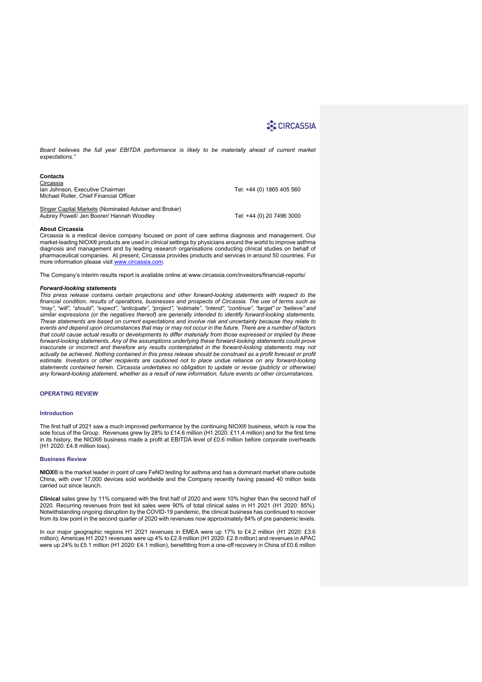Board believes the full year EBITDA performance is likely to be materially ahead of current market *expectations."*

**Contacts Circassia** Ian Johnson, Executive Chairman Tel: +44 (0) 1865 405 560 Michael Roller, Chief Financial Officer

Singer Capital Markets (Nominated Adviser and Broker) Aubrey Powell/ Jen Boorer/ Hannah Woodley Tel: +44 (0) 20 7496 3000

#### **About Circassia**

Circassia is a medical device company focused on point of care asthma diagnosis and management. Our market-leading NIOX® products are used in *clinical* settings by physicians around the world to improve asthma diagnosis and management and by leading *research* organisations conducting clinical studies on behalf of pharmaceutical companies. At present, Circassia provides products and services in around 50 countries. For more information please visit www.circassia.com.

The Company's interim results report is available online at www.circassia.com/investors/financial-reports/

#### *Forward-looking statements*

*This press release contains certain projections and other forward-looking statements with respect to the financial condition, results of operations, businesses and prospects of Circassia. The use of terms such as "may", "will", "should", "expect", "anticipate", "project", "estimate", "intend", "continue", "target" or "believe" and similar expressions (or the negatives thereof) are generally intended to identify forward-looking statements. These statements are based on current expectations and involve risk and uncertainty because they relate to events and depend upon circumstances that may or may not occur in the future. There are a number of factors that could cause actual results or developments to differ materially from those expressed or implied by these forward-looking statements. Any of the assumptions underlying these forward-looking statements could prove inaccurate or incorrect and therefore any results contemplated in the forward-looking statements may not actually be achieved. Nothing contained in this press release should be construed as a profit forecast or profit estimate. Investors or other recipients are cautioned not to place undue reliance on any forward-looking statements contained herein. Circassia undertakes no obligation to update or revise (publicly or otherwise) any forward-looking statement, whether as a result of new information, future events or other circumstances.*

### **OPERATING REVIEW**

#### **Introduction**

The first half of 2021 saw a much improved performance by the continuing NIOX® business, which is now the sole focus of the Group. Revenues grew by 28% to £14.6 million (H1 2020: £11.4 million) and for the first time in its history, the NIOX® business made a profit at EBITDA level of £0.6 million before corporate overheads (H1 2020: £4.8 million loss).

#### **Business Review**

**NIOX®** is the market leader in point of care FeNO testing for asthma and has a dominant market share outside China, with over 17,000 devices sold worldwide and the Company recently having passed 40 million tests carried out since launch.

**Clinical** sales grew by 11% compared with the first half of 2020 and were 10% higher than the second half of 2020. Recurring revenues from test kit sales were 90% of total clinical sales in H1 2021 (H1 2020: 85%). Notwithstanding ongoing disruption by the COVID-19 pandemic, the clinical business has continued to recover from its low point in the second quarter of 2020 with revenues now approximately 84% of pre pandemic levels.

In our major geographic regions H1 2021 revenues in EMEA were up 17% to £4.2 million (H1 2020: £3.6 million); Americas H1 2021 revenues were up 4% to £2.9 million (H1 2020: £2.8 million) and revenues in APAC were up 24% to £5.1 million (H1 2020: £4.1 million), benefitting from a one-off recovery in China of £0.6 million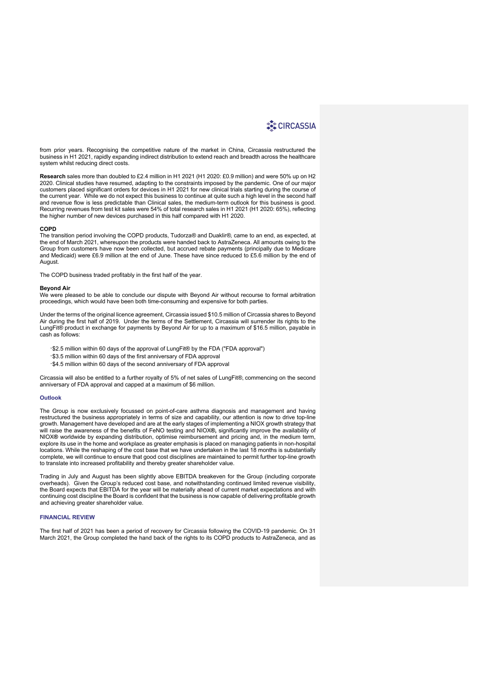from prior years. Recognising the competitive nature of the market in China, Circassia restructured the business in H1 2021, rapidly expanding indirect distribution to extend reach and breadth across the healthcare system whilst reducing direct costs.

**Research** sales more than doubled to £2.4 million in H1 2021 (H1 2020: £0.9 million) and were 50% up on H2 2020. Clinical studies have resumed, adapting to the constraints imposed by the pandemic. One of our major customers placed significant orders for devices in H1 2021 for new clinical trials starting during the course of the current year. While we do not expect this business to continue at quite such a high level in the second half and revenue flow is less predictable than Clinical sales, the medium-term outlook for this business is good. Recurring revenues from test kit sales were 54% of total research sales in H1 2021 (H1 2020: 65%), reflecting the higher number of new devices purchased in this half compared with H1 2020.

## **COPD**

The transition period involving the COPD products, Tudorza*®* and Duaklir*®,* came to an end, as expected, at the end of March 2021, whereupon the products were handed back to AstraZeneca. All amounts owing to the Group from customers have now been collected, but accrued rebate payments (principally due to Medicare and Medicaid) were £6.9 million at the end of June. These have since reduced to £5.6 million by the end of August.

The COPD business traded profitably in the first half of the year.

#### **Beyond Air**

We were pleased to be able to conclude our dispute with Beyond Air without recourse to formal arbitration proceedings, which would have been both time-consuming and expensive for both parties.

Under the terms of the original licence agreement, Circassia issued \$10.5 million of Circassia shares to Beyond Air during the first half of 2019. Under the terms of the Settlement, Circassia will surrender its rights to the LungFit® product in exchange for payments by Beyond Air for up to a maximum of \$16.5 million, payable in cash as follows:

- ·\$2.5 million within 60 days of the approval of LungFit® by the FDA ("FDA approval")
- ·\$3.5 million within 60 days of the first anniversary of FDA approval
- ·\$4.5 million within 60 days of the second anniversary of FDA approval

Circassia will also be entitled to a further royalty of 5% of net sales of LungFit®, commencing on the second anniversary of FDA approval and capped at a maximum of \$6 million.

#### **Outlook**

The Group is now exclusively focussed on point-of-care asthma diagnosis and management and having restructured the business appropriately in terms of size and capability, our attention is now to drive top-line growth. Management have developed and are at the early stages of implementing a NIOX growth strategy that will raise the awareness of the benefits of FeNO testing and NIOX**®,** significantly improve the availability of NIOX**®** worldwide by expanding distribution, optimise reimbursement and pricing and, in the medium term, explore its use in the home and workplace as greater emphasis is placed on managing patients in non-hospital locations. While the reshaping of the cost base that we have undertaken in the last 18 months is substantially complete, we will continue to ensure that good cost disciplines are maintained to permit further top-line growth to translate into increased profitability and thereby greater shareholder value.

Trading in July and August has been slightly above EBITDA breakeven for the Group (including corporate overheads). Given the Group's reduced cost base, and notwithstanding continued limited revenue visibility, the Board expects that EBITDA for the year will be materially ahead of current market expectations and with continuing cost discipline the Board is confident that the business is now capable of delivering profitable growth and achieving greater shareholder value.

### **FINANCIAL REVIEW**

The first half of 2021 has been a period of recovery for Circassia following the COVID-19 pandemic. On 31 March 2021, the Group completed the hand back of the rights to its COPD products to AstraZeneca, and as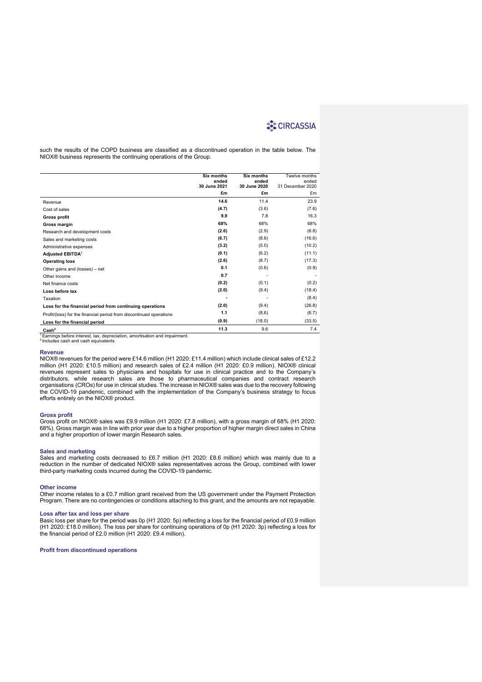such the results of the COPD business are classified as a discontinued operation in the table below. The NIOX® business represents the continuing operations of the Group.

|                                                                                                                               | Six months<br>ended<br>30 June 2021 | Six months<br>ended<br>30 June 2020 | Twelve months<br>ended<br>31 December 2020 |
|-------------------------------------------------------------------------------------------------------------------------------|-------------------------------------|-------------------------------------|--------------------------------------------|
|                                                                                                                               | £m                                  | £m                                  | £m                                         |
| Revenue                                                                                                                       | 14.6                                | 11.4                                | 23.9                                       |
| Cost of sales                                                                                                                 | (4.7)                               | (3.6)                               | (7.6)                                      |
| <b>Gross profit</b>                                                                                                           | 9.9                                 | 7.8                                 | 16.3                                       |
| Gross margin                                                                                                                  | 68%                                 | 68%                                 | 68%                                        |
| Research and development costs                                                                                                | (2.6)                               | (2.9)                               | (6.8)                                      |
| Sales and marketing costs                                                                                                     | (6.7)                               | (8.6)                               | (16.6)                                     |
| Administrative expenses                                                                                                       | (3.2)                               | (5.0)                               | (10.2)                                     |
| Adjusted EBITDA <sup>1</sup>                                                                                                  | (0.1)                               | (6.2)                               | (11.1)                                     |
| <b>Operating loss</b>                                                                                                         | (2.6)                               | (8.7)                               | (17.3)                                     |
| Other gains and (losses) - net                                                                                                | 0.1                                 | (0.6)                               | (0.9)                                      |
| Other income                                                                                                                  | 0.7                                 |                                     |                                            |
| Net finance costs                                                                                                             | (0.2)                               | (0.1)                               | (0.2)                                      |
| Loss before tax                                                                                                               | (2.0)                               | (9.4)                               | (18.4)                                     |
| Taxation                                                                                                                      |                                     |                                     | (8.4)                                      |
| Loss for the financial period from continuing operations                                                                      | (2.0)                               | (9.4)                               | (26.8)                                     |
| Profit/(loss) for the financial period from discontinued operations                                                           | 1.1                                 | (8.6)                               | (6.7)                                      |
| Loss for the financial period                                                                                                 | (0.9)                               | (18.0)                              | (33.5)                                     |
| Cash <sup>2</sup>                                                                                                             | 11.3                                | 9.6                                 | 7.4                                        |
| Earnings before interest, tax, depreciation, amortisation and impairment.<br><sup>2</sup> Includes cash and cash equivalents. |                                     |                                     |                                            |

#### **Revenue**

NIOX® revenues for the period were £14.6 million (H1 2020: £11.4 million) which include clinical sales of £12.2 million (H1 2020: £10.5 million) and research sales of £2.4 million (H1 2020: £0.9 million). NIOX® clinical revenues represent sales to physicians and hospitals for use in clinical practice and to the Company's distributors, while research sales are those to pharmaceutical companies and contract research organisations (CROs) for use in clinical studies. The increase in NIOX® sales was due to the recovery following the COVID-19 pandemic, combined with the implementation of the Company's business strategy to focus efforts entirely on the NIOX® product.

#### **Gross profit**

Gross profit on NIOX® sales was £9.9 million (H1 2020: £7.8 million), with a gross margin of 68% (H1 2020: 68%). Gross margin was in line with prior year due to a higher proportion of higher margin direct sales in China and a higher proportion of lower margin Research sales.

#### **Sales and marketing**

Sales and marketing costs decreased to £6.7 million (H1 2020: £8.6 million) which was mainly due to a reduction in the number of dedicated NIOX® sales representatives across the Group, combined with lower third-party marketing costs incurred during the COVID-19 pandemic.

#### **Other income**

Other income relates to a £0.7 million grant received from the US government under the Payment Protection Program. There are no contingencies or conditions attaching to this grant, and the amounts are not repayable.

#### **Loss after tax and loss per share**

Basic loss per share for the period was 0p (H1 2020: 5p) reflecting a loss for the financial period of £0.9 million (H1 2020: £18.0 million). The loss per share for continuing operations of 0p (H1 2020: 3p) reflecting a loss for the financial period of £2.0 million (H1 2020: £9.4 million).

**Profit from discontinued operations**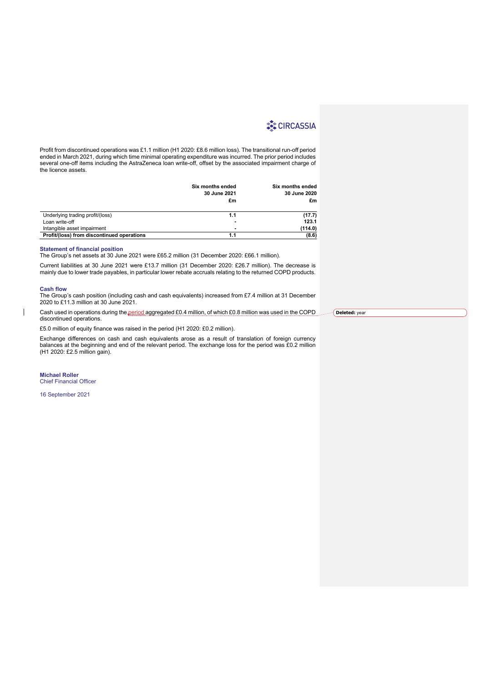Profit from discontinued operations was £1.1 million (H1 2020: £8.6 million loss). The transitional run-off period ended in March 2021, during which time minimal operating expenditure was incurred. The prior period includes several one-off items including the AstraZeneca loan write-off, offset by the associated impairment charge of the licence assets.

|                                               | Six months ended<br>30 June 2021<br>£m | Six months ended<br>30 June 2020<br>£m |
|-----------------------------------------------|----------------------------------------|----------------------------------------|
| Underlying trading profit/(loss)              | 1.1                                    | (17.7)                                 |
| Loan write-off<br>Intangible asset impairment |                                        | 123.1<br>(114.0)                       |
| Profit/(loss) from discontinued operations    |                                        | (8.6)                                  |

#### **Statement of financial position**

The Group's net assets at 30 June 2021 were £65.2 million (31 December 2020: £66.1 million).

Current liabilities at 30 June 2021 were £13.7 million (31 December 2020: £26.7 million). The decrease is mainly due to lower trade payables, in particular lower rebate accruals relating to the returned COPD products.

#### **Cash flow**

 $\overline{\phantom{a}}$ 

The Group's cash position (including cash and cash equivalents) increased from £7.4 million at 31 December 2020 to £11.3 million at 30 June 2021.

Cash used in operations during the period aggregated £0.4 million, of which £0.8 million was used in the COPD discontinued operations.

£5.0 million of equity finance was raised in the period (H1 2020: £0.2 million).

Exchange differences on cash and cash equivalents arose as a result of translation of foreign currency balances at the beginning and end of the relevant period. The exchange loss for the period was £0.2 million (H1 2020: £2.5 million gain).

**Michael Roller** Chief Financial Officer

16 September 2021

**Deleted:** year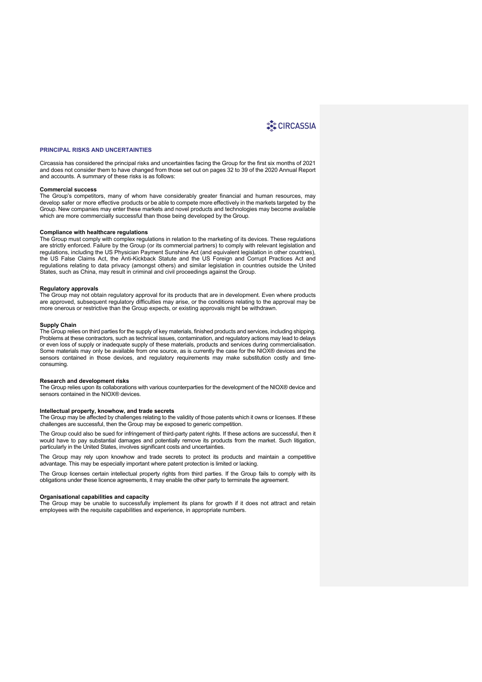#### **PRINCIPAL RISKS AND UNCERTAINTIES**

Circassia has considered the principal risks and uncertainties facing the Group for the first six months of 2021 and does not consider them to have changed from those set out on pages 32 to 39 of the 2020 Annual Report and accounts. A summary of these risks is as follows:

#### **Commercial success**

The Group's competitors, many of whom have considerably greater financial and human resources, may develop safer or more effective products or be able to compete more effectively in the markets targeted by the Group. New companies may enter these markets and novel products and technologies may become available which are more commercially successful than those being developed by the Group.

#### **Compliance with healthcare regulations**

The Group must comply with complex regulations in relation to the marketing of its devices. These regulations are strictly enforced. Failure by the Group (or its commercial partners) to comply with relevant legislation and regulations, including the US Physician Payment Sunshine Act (and equivalent legislation in other countries), the US False Claims Act, the Anti-Kickback Statute and the US Foreign and Corrupt Practices Act and regulations relating to data privacy (amongst others) and similar legislation in countries outside the United States, such as China, may result in criminal and civil proceedings against the Group.

#### **Regulatory approvals**

The Group may not obtain regulatory approval for its products that are in development. Even where products are approved, subsequent regulatory difficulties may arise, or the conditions relating to the approval may be more onerous or restrictive than the Group expects, or existing approvals might be withdrawn.

#### **Supply Chain**

The Group relies on third parties for the supply of key materials, finished products and services, including shipping. Problems at these contractors, such as technical issues, contamination, and regulatory actions may lead to delays or even loss of supply or inadequate supply of these materials, products and services during commercialisation. Some materials may only be available from one source, as is currently the case for the NIOX® devices and the sensors contained in those devices, and regulatory requirements may make substitution costly and timeconsuming.

#### **Research and development risks**

The Group relies upon its collaborations with various counterparties for the development of the NIOX® device and sensors contained in the NIOX® devices.

### **Intellectual property, knowhow, and trade secrets**

The Group may be affected by challenges relating to the validity of those patents which it owns or licenses. If these challenges are successful, then the Group may be exposed to generic competition.

The Group could also be sued for infringement of third-party patent rights. If these actions are successful, then it would have to pay substantial damages and potentially remove its products from the market. Such litigation, particularly in the United States, involves significant costs and uncertainties.

The Group may rely upon knowhow and trade secrets to protect its products and maintain a competitive advantage. This may be especially important where patent protection is limited or lacking.

The Group licenses certain intellectual property rights from third parties. If the Group fails to comply with its obligations under these licence agreements, it may enable the other party to terminate the agreement.

#### **Organisational capabilities and capacity**

The Group may be unable to successfully implement its plans for growth if it does not attract and retain employees with the requisite capabilities and experience, in appropriate numbers.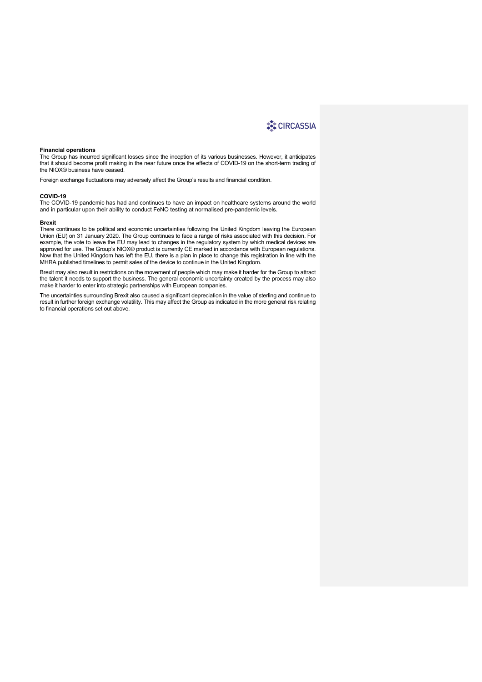#### **Financial operations**

The Group has incurred significant losses since the inception of its various businesses. However, it anticipates that it should become profit making in the near future once the effects of COVID-19 on the short-term trading of the NIOX® business have ceased.

Foreign exchange fluctuations may adversely affect the Group's results and financial condition.

#### **COVID-19**

The COVID-19 pandemic has had and continues to have an impact on healthcare systems around the world and in particular upon their ability to conduct FeNO testing at normalised pre-pandemic levels.

#### **Brexit**

There continues to be political and economic uncertainties following the United Kingdom leaving the European Union (EU) on 31 January 2020. The Group continues to face a range of risks associated with this decision. For example, the vote to leave the EU may lead to changes in the regulatory system by which medical devices are approved for use. The Group's NIOX® product is currently CE marked in accordance with European regulations. Now that the United Kingdom has left the EU, there is a plan in place to change this registration in line with the MHRA published timelines to permit sales of the device to continue in the United Kingdom.

Brexit may also result in restrictions on the movement of people which may make it harder for the Group to attract the talent it needs to support the business. The general economic uncertainty created by the process may also make it harder to enter into strategic partnerships with European companies.

The uncertainties surrounding Brexit also caused a significant depreciation in the value of sterling and continue to result in further foreign exchange volatility. This may affect the Group as indicated in the more general risk relating to financial operations set out above.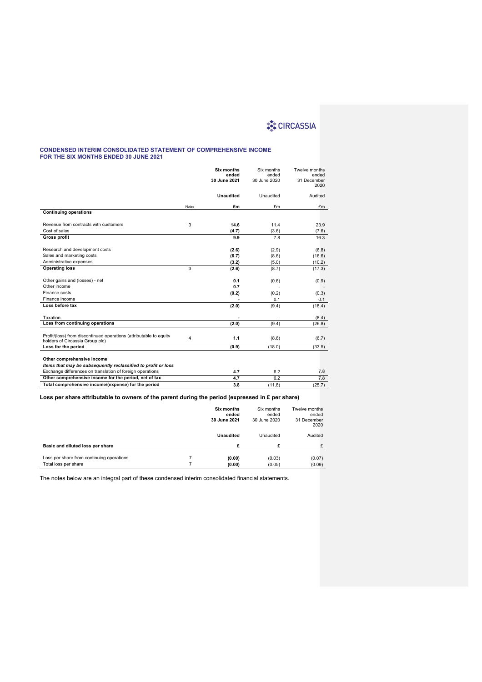#### **CONDENSED INTERIM CONSOLIDATED STATEMENT OF COMPREHENSIVE INCOME FOR THE SIX MONTHS ENDED 30 JUNE 2021**

|                                                                                                       |              | Six months<br>ended<br>30 June 2021 | Six months<br>ended<br>30 June 2020 | Twelve months<br>ended<br>31 December<br>2020 |
|-------------------------------------------------------------------------------------------------------|--------------|-------------------------------------|-------------------------------------|-----------------------------------------------|
|                                                                                                       |              | <b>Unaudited</b>                    | Unaudited                           | Audited                                       |
|                                                                                                       | <b>Notes</b> | £m                                  | £m                                  | £m                                            |
| <b>Continuing operations</b>                                                                          |              |                                     |                                     |                                               |
| Revenue from contracts with customers                                                                 | 3            | 14.6                                | 11.4                                | 23.9                                          |
| Cost of sales                                                                                         |              | (4.7)                               | (3.6)                               | (7.6)                                         |
| <b>Gross profit</b>                                                                                   |              | 9.9                                 | 7.8                                 | 16.3                                          |
| Research and development costs                                                                        |              | (2.6)                               | (2.9)                               | (6.8)                                         |
| Sales and marketing costs                                                                             |              | (6.7)                               | (8.6)                               | (16.6)                                        |
| Administrative expenses                                                                               |              | (3.2)                               | (5.0)                               | (10.2)                                        |
| <b>Operating loss</b>                                                                                 | 3            | (2.6)                               | (8.7)                               | (17.3)                                        |
| Other gains and (losses) - net                                                                        |              | 0.1                                 | (0.6)                               | (0.9)                                         |
| Other income                                                                                          |              | 0.7                                 |                                     |                                               |
| Finance costs                                                                                         |              | (0.2)                               | (0.2)                               | (0.3)                                         |
| Finance income                                                                                        |              |                                     | 0.1                                 | 0.1                                           |
| Loss before tax                                                                                       |              | (2.0)                               | (9.4)                               | (18.4)                                        |
| Taxation                                                                                              |              |                                     |                                     | (8.4)                                         |
| Loss from continuing operations                                                                       |              | (2.0)                               | (9.4)                               | (26.8)                                        |
| Profit/(loss) from discontinued operations (attributable to equity<br>holders of Circassia Group plc) | 4            | 1.1                                 | (8.6)                               | (6.7)                                         |
| Loss for the period                                                                                   |              | (0.9)                               | (18.0)                              | (33.5)                                        |
| Other comprehensive income<br>Items that may be subsequently reclassified to profit or loss           |              |                                     |                                     |                                               |
| Exchange differences on translation of foreign operations                                             |              | 4.7                                 | 6.2                                 | 7.8                                           |
| Other comprehensive income for the period, net of tax                                                 |              | 4.7                                 | 6.2                                 | 7.8                                           |
| Total comprehensive income/(expense) for the period                                                   |              | 3.8                                 | (11.8)                              | (25.7)                                        |

## **Loss per share attributable to owners of the parent during the period (expressed in £ per share)**

|                                                                   | <b>Six months</b><br>ended<br>30 June 2021 | Six months<br>ended<br>30 June 2020 | Twelve months<br>ended<br>31 December<br>2020 |
|-------------------------------------------------------------------|--------------------------------------------|-------------------------------------|-----------------------------------------------|
|                                                                   | <b>Unaudited</b>                           | Unaudited                           | Audited                                       |
| Basic and diluted loss per share                                  | £                                          | £                                   | £                                             |
| Loss per share from continuing operations<br>Total loss per share | (0.00)<br>(0.00)                           | (0.03)<br>(0.05)                    | (0.07)<br>(0.09)                              |

The notes below are an integral part of these condensed interim consolidated financial statements.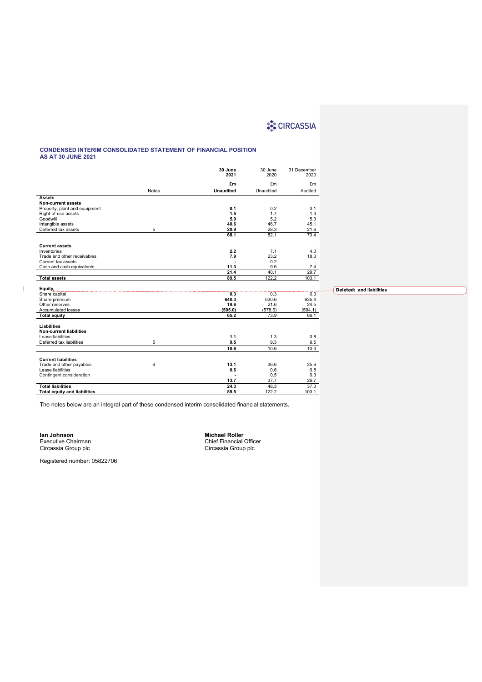### **CONDENSED INTERIM CONSOLIDATED STATEMENT OF FINANCIAL POSITION AS AT 30 JUNE 2021**

|                                          |              | 30 June<br>2021  | 30 June<br>2020 | 31 December<br>2020 |                                 |
|------------------------------------------|--------------|------------------|-----------------|---------------------|---------------------------------|
|                                          |              | £m               | £m              | £m                  |                                 |
|                                          | <b>Notes</b> | <b>Unaudited</b> | Unaudited       | Audited             |                                 |
| <b>Assets</b>                            |              |                  |                 |                     |                                 |
| <b>Non-current assets</b>                |              |                  |                 |                     |                                 |
| Property, plant and equipment            |              | 0.1              | 0.2             | 0.1                 |                                 |
| Right-of-use assets                      |              | 1.5              | 1.7             | 1.3                 |                                 |
| Goodwill                                 |              | 5.0<br>40.6      | 5.2<br>46.7     | 5.3<br>45.1         |                                 |
| Intangible assets<br>Deferred tax assets | 5            | 20.9             | 28.3            | 21.6                |                                 |
|                                          |              | 68.1             | 82.1            | 73.4                |                                 |
|                                          |              |                  |                 |                     |                                 |
| <b>Current assets</b>                    |              |                  |                 |                     |                                 |
| Inventories                              |              | 2.2              | 7.1             | 4.0                 |                                 |
| Trade and other receivables              |              | 7.9              | 23.2            | 18.3                |                                 |
| Current tax assets                       |              |                  | 0.2             |                     |                                 |
| Cash and cash equivalents                |              | 11.3             | 9.6             | 7.4                 |                                 |
|                                          |              | 21.4             | 40.1            | 29.7                |                                 |
| <b>Total assets</b>                      |              | 89.5             | 122.2           | 103.1               |                                 |
|                                          |              |                  |                 |                     |                                 |
| Equity,<br>Share capital                 |              | 0.3              | 0.3             | 0.3                 | <b>Deleted: and liabilities</b> |
| Share premium                            |              | 640.3            | 630.6           | 635.4               |                                 |
| Other reserves                           |              | 19.6             | 21.6            | 24.5                |                                 |
| Accumulated losses                       |              | (595.0)          | (578.6)         | (594.1)             |                                 |
| <b>Total equity</b>                      |              | 65.2             | 73.9            | 66.1                |                                 |
|                                          |              |                  |                 |                     |                                 |
| <b>Liabilities</b>                       |              |                  |                 |                     |                                 |
| <b>Non-current liabilities</b>           |              |                  |                 |                     |                                 |
| Lease liabilities                        |              | 1.1              | 1.3             | 0.8                 |                                 |
| Deferred tax liabilities                 | 5            | 9.5              | 9.3             | 9.5                 |                                 |
|                                          |              | 10.6             | 10.6            | 10.3                |                                 |
|                                          |              |                  |                 |                     |                                 |
| <b>Current liabilities</b>               |              |                  |                 |                     |                                 |
| Trade and other payables                 | 6            | 13.1             | 36.6            | 25.6                |                                 |
| Lease liabilities                        |              | 0.6              | 0.6             | 0.8                 |                                 |
| Contingent consideration                 |              | ÷                | 0.5             | 0.3                 |                                 |
|                                          |              | 13.7             | 37.7            | 26.7                |                                 |
| <b>Total liabilities</b>                 |              | 24.3             | 48.3            | 37.0                |                                 |
| <b>Total equity and liabilities</b>      |              | 89.5             | 122.2           | 103.1               |                                 |

The notes below are an integral part of these condensed interim consolidated financial statements.

**Ian Johnson Michael Roller** Circassia Group plc Circassia Group plc

 $\begin{array}{c} \hline \end{array}$ 

Michael Roller<br>Chief Financial Officer<br>Circassia Group plc

Registered number: 05822706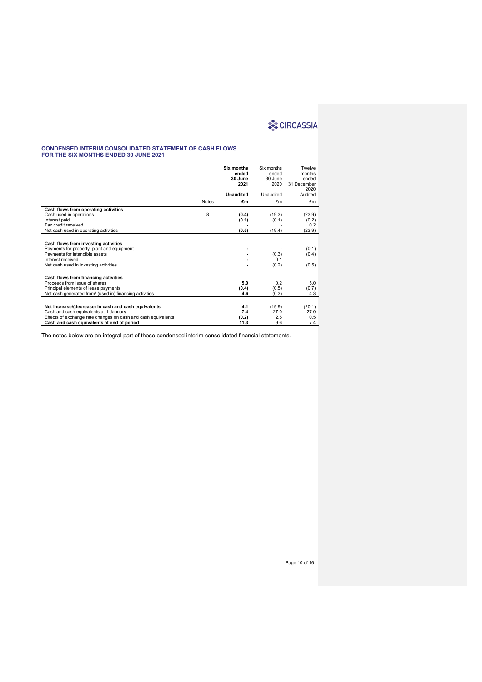#### **CONDENSED INTERIM CONSOLIDATED STATEMENT OF CASH FLOWS FOR THE SIX MONTHS ENDED 30 JUNE 2021**

|                                                                                                                      |              | Six months<br>ended<br>30 June<br>2021 | Six months<br>ended<br>30 June<br>2020 | Twelve<br>months<br>ended<br>31 December |
|----------------------------------------------------------------------------------------------------------------------|--------------|----------------------------------------|----------------------------------------|------------------------------------------|
|                                                                                                                      |              |                                        |                                        | 2020                                     |
|                                                                                                                      |              | <b>Unaudited</b>                       | Unaudited                              | Audited                                  |
|                                                                                                                      | <b>Notes</b> | £m                                     | £m                                     | £m                                       |
| Cash flows from operating activities                                                                                 |              |                                        |                                        |                                          |
| Cash used in operations                                                                                              | 8            | (0.4)                                  | (19.3)                                 | (23.9)                                   |
| Interest paid                                                                                                        |              | (0.1)                                  | (0.1)                                  | (0.2)                                    |
| Tax credit received                                                                                                  |              |                                        |                                        | 0.2                                      |
| Net cash used in operating activities                                                                                |              | (0.5)                                  | (19.4)                                 | (23.9)                                   |
| Cash flows from investing activities<br>Payments for property, plant and equipment<br>Payments for intangible assets |              |                                        | (0.3)                                  | (0.1)<br>(0.4)                           |
| Interest received                                                                                                    |              |                                        | 0.1                                    |                                          |
| Net cash used in investing activities                                                                                |              | ٠                                      | (0.2)                                  | (0.5)                                    |
| Cash flows from financing activities                                                                                 |              |                                        |                                        |                                          |
| Proceeds from issue of shares                                                                                        |              | 5.0                                    | 0.2                                    | 5.0                                      |
| Principal elements of lease payments                                                                                 |              | (0.4)                                  | (0.5)                                  | (0.7)                                    |
| Net cash generated from/ (used in) financing activities                                                              |              | 4.6                                    | (0.3)                                  | 4.3                                      |
|                                                                                                                      |              |                                        |                                        |                                          |
| Net increase/(decrease) in cash and cash equivalents                                                                 |              | 4.1                                    | (19.9)                                 | (20.1)                                   |
| Cash and cash equivalents at 1 January                                                                               |              | 7.4                                    | 27.0                                   | 27.0                                     |
| Effects of exchange rate changes on cash and cash equivalents                                                        |              | (0.2)                                  | 2.5                                    | 0.5                                      |
| Cash and cash equivalents at end of period                                                                           |              | 11.3                                   | 9.6                                    | 7.4                                      |

The notes below are an integral part of these condensed interim consolidated financial statements.

Page 10 of 16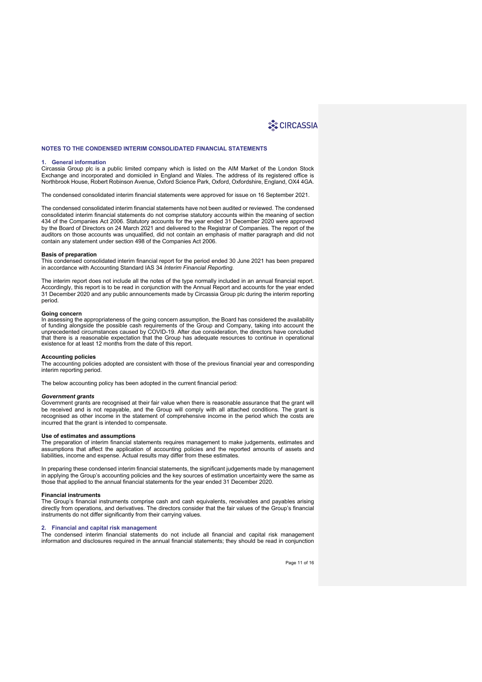### **NOTES TO THE CONDENSED INTERIM CONSOLIDATED FINANCIAL STATEMENTS**

#### **1. General information**

Circassia Group plc is a public limited company which is listed on the AIM Market of the London Stock Exchange and incorporated and domiciled in England and Wales. The address of its registered office is Northbrook House, Robert Robinson Avenue, Oxford Science Park, Oxford, Oxfordshire, England, OX4 4GA.

The condensed consolidated interim financial statements were approved for issue on 16 September 2021.

The condensed consolidated interim financial statements have not been audited or reviewed. The condensed consolidated interim financial statements do not comprise statutory accounts within the meaning of section 434 of the Companies Act 2006. Statutory accounts for the year ended 31 December 2020 were approved by the Board of Directors on 24 March 2021 and delivered to the Registrar of Companies. The report of the auditors on those accounts was unqualified, did not contain an emphasis of matter paragraph and did not contain any statement under section 498 of the Companies Act 2006.

#### **Basis of preparation**

This condensed consolidated interim financial report for the period ended 30 June 2021 has been prepared in accordance with Accounting Standard IAS 34 *Interim Financial Reporting.* 

The interim report does not include all the notes of the type normally included in an annual financial report. Accordingly, this report is to be read in conjunction with the Annual Report and accounts for the year ended 31 December 2020 and any public announcements made by Circassia Group plc during the interim reporting period*.*

#### **Going concern**

In assessing the appropriateness of the going concern assumption, the Board has considered the availability<br>of funding alongside the possible cash requirements of the Group and Company, taking into account the<br>unprecedente that there is a reasonable expectation that the Group has adequate resources to continue in operational existence for at least 12 months from the date of this report.

#### **Accounting policies**

The accounting policies adopted are consistent with those of the previous financial year and corresponding interim reporting period.

The below accounting policy has been adopted in the current financial period:

#### *Government grants*

Government grants are recognised at their fair value when there is reasonable assurance that the grant will be received and is not repayable, and the Group will comply with all attached conditions. The grant is recognised as other income in the statement of comprehensive income in the period which the costs are incurred that the grant is intended to compensate.

#### **Use of estimates and assumptions**

The preparation of interim financial statements requires management to make judgements, estimates and assumptions that affect the application of accounting policies and the reported amounts of assets and liabilities, income and expense. Actual results may differ from these estimates.

In preparing these condensed interim financial statements, the significant judgements made by management in applying the Group's accounting policies and the key sources of estimation uncertainty were the same as those that applied to the annual financial statements for the year ended 31 December 2020.

#### **Financial instruments**

The Group's financial instruments comprise cash and cash equivalents, receivables and payables arising directly from operations, and derivatives. The directors consider that the fair values of the Group's financial instruments do not differ significantly from their carrying values.

#### **2. Financial and capital risk management**

The condensed interim financial statements do not include all financial and capital risk management information and disclosures required in the annual financial statements; they should be read in conjunction

Page 11 of 16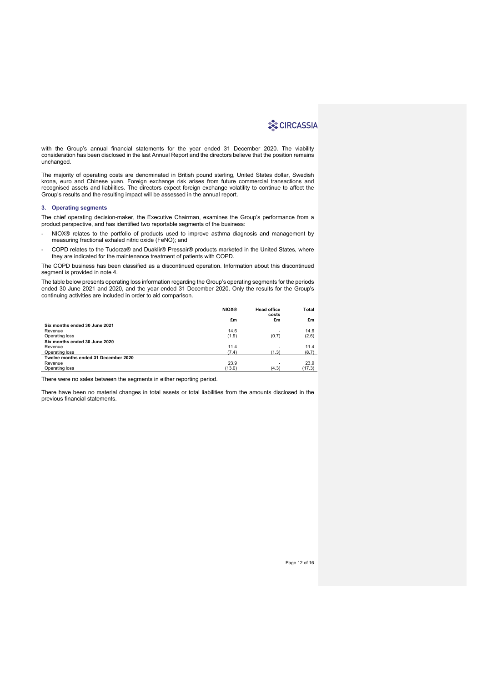with the Group's annual financial statements for the year ended 31 December 2020. The viability consideration has been disclosed in the last Annual Report and the directors believe that the position remains unchanged.

The majority of operating costs are denominated in British pound sterling, United States dollar, Swedish krona, euro and Chinese yuan. Foreign exchange risk arises from future commercial transactions and recognised assets and liabilities. The directors expect foreign exchange volatility to continue to affect the Group's results and the resulting impact will be assessed in the annual report.

#### **3. Operating segments**

The chief operating decision-maker, the Executive Chairman, examines the Group's performance from a product perspective, and has identified two reportable segments of the business:

- NIOX® relates to the portfolio of products used to improve asthma diagnosis and management by measuring fractional exhaled nitric oxide (FeNO); and
- COPD relates to the Tudorza® and Duaklir® Pressair® products marketed in the United States, where they are indicated for the maintenance treatment of patients with COPD.

The COPD business has been classified as a discontinued operation. Information about this discontinued segment is provided in note 4.

The table below presents operating loss information regarding the Group's operating segments for the periods ended 30 June 2021 and 2020, and the year ended 31 December 2020. Only the results for the Group's continuing activities are included in order to aid comparison.

|                                      | <b>NIOX®</b> | <b>Head office</b><br>costs | Total  |
|--------------------------------------|--------------|-----------------------------|--------|
|                                      | £m           | £m                          | £m     |
| Six months ended 30 June 2021        |              |                             |        |
| Revenue                              | 14.6         | ۰                           | 14.6   |
| Operating loss                       | (1.9)        | (0.7)                       | (2.6)  |
| Six months ended 30 June 2020        |              |                             |        |
| Revenue                              | 11.4         | ۰                           | 11.4   |
| Operating loss                       | (7.4)        | (1.3)                       | (8.7)  |
| Twelve months ended 31 December 2020 |              |                             |        |
| Revenue                              | 23.9         | ۰                           | 23.9   |
| Operating loss                       | (13.0)       | (4.3)                       | (17.3) |

There were no sales between the segments in either reporting period.

There have been no material changes in total assets or total liabilities from the amounts disclosed in the previous financial statements.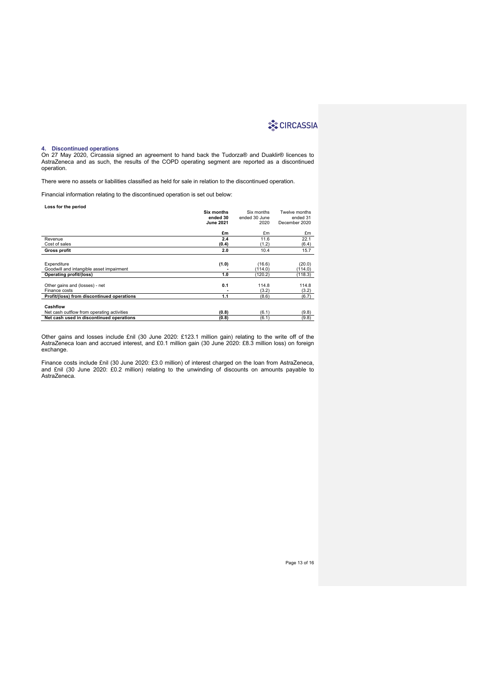#### **4. Discontinued operations**

On 27 May 2020, Circassia signed an agreement to hand back the Tudorza® and Duaklir® licences to AstraZeneca and as such, the results of the COPD operating segment are reported as a discontinued operation.

There were no assets or liabilities classified as held for sale in relation to the discontinued operation.

Financial information relating to the discontinued operation is set out below:

| Loss for the period                        |                  |               |               |
|--------------------------------------------|------------------|---------------|---------------|
|                                            | Six months       | Six months    | Twelve months |
|                                            | ended 30         | ended 30 June | ended 31      |
|                                            | <b>June 2021</b> | 2020          | December 2020 |
|                                            |                  |               |               |
|                                            | £m               | £m            | £m            |
| Revenue                                    | 2.4              | 11.6          | 22.1          |
| Cost of sales                              | (0.4)            | (1.2)         | (6.4)         |
| <b>Gross profit</b>                        | 2.0              | 10.4          | 15.7          |
|                                            |                  |               |               |
| Expenditure                                | (1.0)            | (16.6)        | (20.0)        |
| Goodwill and intangible asset impairment   |                  | (114.0)       | (114.0)       |
| <b>Operating profit/(loss)</b>             | 1.0              | (120.2)       | (118.3)       |
|                                            |                  |               |               |
| Other gains and (losses) - net             | 0.1              | 114.8         | 114.8         |
| Finance costs                              |                  | (3.2)         | (3.2)         |
| Profit/(loss) from discontinued operations | 1.1              | (8.6)         | (6.7)         |
|                                            |                  |               |               |
| Cashflow                                   |                  |               |               |
| Net cash outflow from operating activities | (0.8)            | (6.1)         | (9.8)         |
| Net cash used in discontinued operations   | (0.8)            | (6.1)         | (9.8)         |

Other gains and losses include £nil (30 June 2020: £123.1 million gain) relating to the write off of the AstraZeneca loan and accrued interest, and £0.1 million gain (30 June 2020: £8.3 million loss) on foreign exchange.

Finance costs include £nil (30 June 2020: £3.0 million) of interest charged on the loan from AstraZeneca, and £nil (30 June 2020: £0.2 million) relating to the unwinding of discounts on amounts payable to AstraZeneca.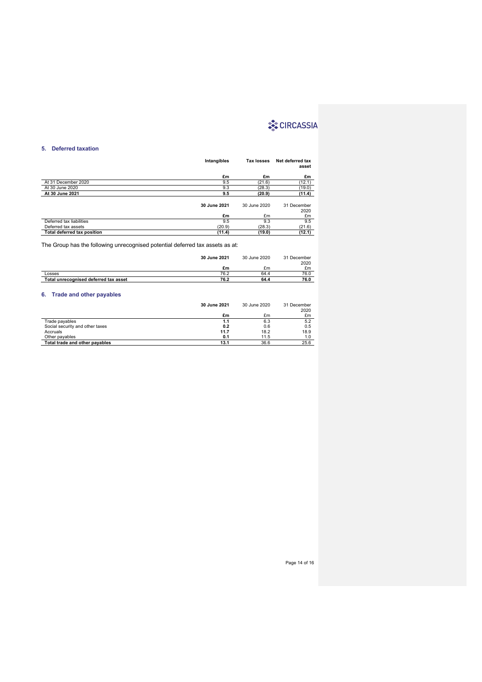## **5. Deferred taxation**

|                                    | Intangibles  | Tax losses   | Net deferred tax<br>asset |
|------------------------------------|--------------|--------------|---------------------------|
|                                    | £m           | £m           | £m                        |
| At 31 December 2020                | 9.5          | (21.6)       | (12.1)                    |
| At 30 June 2020                    | 9.3          | (28.3)       | (19.0)                    |
| At 30 June 2021                    | 9.5          | (20.9)       | (11.4)                    |
|                                    | 30 June 2021 | 30 June 2020 | 31 December<br>2020       |
|                                    | £m           | £m           | £m                        |
| Deferred tax liabilities           | 9.5          | 9.3          | 9.5                       |
| Deferred tax assets                | (20.9)       | (28.3)       | (21.6)                    |
| <b>Total deferred tax position</b> | (11.4)       | (19.0)       | (12.1)                    |

The Group has the following unrecognised potential deferred tax assets as at:

|                                       | 30 June 2021 | 30 June 2020 | 31 December<br>2020 |
|---------------------------------------|--------------|--------------|---------------------|
|                                       | £m           | £m           | £m                  |
| Losses                                | 76.2         | 64.4         | 76.0                |
| Total unrecognised deferred tax asset | 76.2         | 64.4         | 76.0                |
|                                       |              |              |                     |

## **6. Trade and other payables**

|                                 | 30 June 2021 | 30 June 2020 | 31 December<br>2020 |
|---------------------------------|--------------|--------------|---------------------|
|                                 | £m           | £m           | £m                  |
| Trade payables                  | 1.1          | 6.3          | 5.2                 |
| Social security and other taxes | 0.2          | 0.6          | 0.5                 |
| Accruals                        | 11.7         | 18.2         | 18.9                |
| Other payables                  | 0.1          | 11.5         | 1.0                 |
| Total trade and other payables  | 13.1         | 36.6         | 25.6                |

Page 14 of 16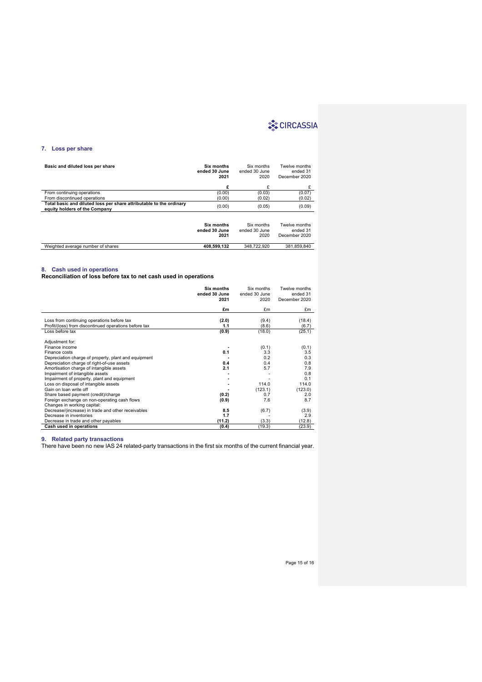## **7. Loss per share**

| Basic and diluted loss per share                                                                     | Six months<br>ended 30 June<br>2021 | Six months<br>ended 30 June<br>2020 | Twelve months<br>ended 31<br>December 2020 |
|------------------------------------------------------------------------------------------------------|-------------------------------------|-------------------------------------|--------------------------------------------|
|                                                                                                      | £                                   | £                                   | £                                          |
| From continuing operations                                                                           | (0.00)                              | (0.03)                              | (0.07)                                     |
| From discontinued operations                                                                         | (0.00)                              | (0.02)                              | (0.02)                                     |
| Total basic and diluted loss per share attributable to the ordinary<br>equity holders of the Company | (0.00)                              | (0.05)                              | (0.09)                                     |
|                                                                                                      | Six months<br>ended 30 June<br>2021 | Six months<br>ended 30 June<br>2020 | Twelve months<br>ended 31<br>December 2020 |

| Weighted average number of shares | 408.599.132 | 348.722.920 | 381.859.840 |
|-----------------------------------|-------------|-------------|-------------|

#### **8. Cash used in operations**

**Reconciliation of loss before tax to net cash used in operations**

|                                                       | Six months<br>ended 30 June<br>2021 | Six months<br>ended 30 June<br>2020 | Twelve months<br>ended 31<br>December 2020 |
|-------------------------------------------------------|-------------------------------------|-------------------------------------|--------------------------------------------|
|                                                       | £m                                  | £m                                  | £m                                         |
|                                                       |                                     |                                     |                                            |
| Loss from continuing operations before tax            | (2.0)                               | (9.4)                               | (18.4)                                     |
| Profit/(loss) from discontinued operations before tax | 1.1                                 | (8.6)                               | (6.7)                                      |
| Loss before tax                                       | (0.9)                               | (18.0)                              | (25.1)                                     |
| Adjustment for:                                       |                                     |                                     |                                            |
| Finance income                                        |                                     | (0.1)                               | (0.1)                                      |
| Finance costs                                         | 0.1                                 | 3.3                                 | 3.5                                        |
| Depreciation charge of property, plant and equipment  |                                     | 0.2                                 | 0.3                                        |
| Depreciation charge of right-of-use assets            | 0.4                                 | 0.4                                 | 0.8                                        |
| Amortisation charge of intangible assets              | 2.1                                 | 5.7                                 | 7.9                                        |
| Impairment of intangible assets                       |                                     |                                     | 0.8                                        |
| Impairment of property, plant and equipment           |                                     |                                     | 0.1                                        |
| Loss on disposal of intangible assets                 |                                     | 114.0                               | 114.0                                      |
| Gain on loan write off                                |                                     | (123.1)                             | (123.0)                                    |
| Share based payment (credit)/charge                   | (0.2)                               | 0.7                                 | 2.0                                        |
| Foreign exchange on non-operating cash flows          | (0.9)                               | 7.6                                 | 8.7                                        |
| Changes in working capital:                           |                                     |                                     |                                            |
| Decrease/(increase) in trade and other receivables    | 8.5                                 | (6.7)                               | (3.9)                                      |
| Decrease in inventories                               | 1.7                                 |                                     | 2.9                                        |
| Decrease in trade and other payables                  | (11.2)                              | (3.3)                               | (12.8)                                     |
|                                                       |                                     |                                     |                                            |
| Cash used in operations                               | (0.4)                               | (19.3)                              | (23.9)                                     |

**9. Related party transactions**

There have been no new IAS 24 related-party transactions in the first six months of the current financial year.